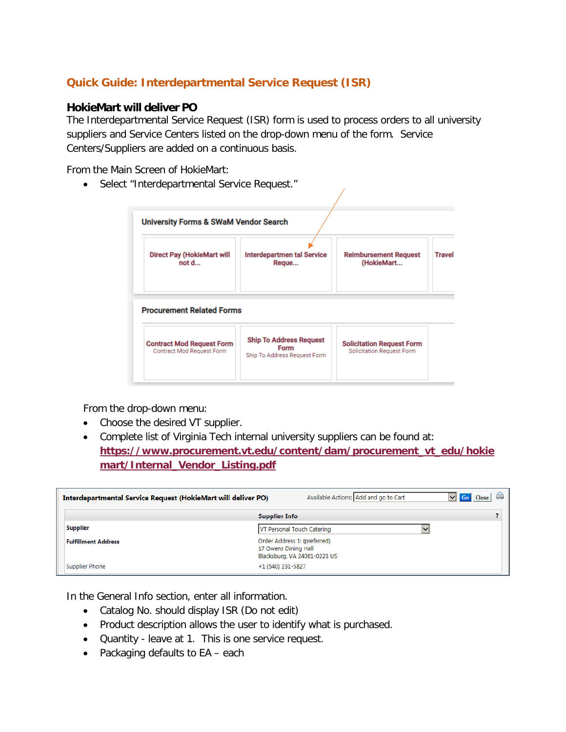## **Quick Guide: Interdepartmental Service Request (ISR)**

## **HokieMart will deliver PO**

The Interdepartmental Service Request (ISR) form is used to process orders to all university suppliers and Service Centers listed on the drop-down menu of the form. Service Centers/Suppliers are added on a continuous basis.

From the Main Screen of HokieMart:

• Select "Interdepartmental Service Request."

| <b>Direct Pay (HokieMart will</b><br>not d | <b>Interdepartmen tal Service</b><br>Reque | <b>Reimbursement Request</b><br>(HokieMart | <b>Travel</b> |
|--------------------------------------------|--------------------------------------------|--------------------------------------------|---------------|
|                                            |                                            |                                            |               |
| <b>Procurement Related Forms</b>           |                                            |                                            |               |

From the drop-down menu:

- Choose the desired VT supplier.
- Complete list of Virginia Tech internal university suppliers can be found at: **[https://www.procurement.vt.edu/content/dam/procurement\\_vt\\_edu/hokie](https://www.procurement.vt.edu/content/dam/procurement_vt_edu/hokiemart/Internal_Vendor_Listing.pdf) [mart/Internal\\_Vendor\\_Listing.pdf](https://www.procurement.vt.edu/content/dam/procurement_vt_edu/hokiemart/Internal_Vendor_Listing.pdf)**

| Interdepartmental Service Request (HokieMart will deliver PO) |                      | Available Actions: Add and go to Cart                        | $\vee$ Go<br>Close |
|---------------------------------------------------------------|----------------------|--------------------------------------------------------------|--------------------|
|                                                               | <b>Supplier Info</b> |                                                              |                    |
| <b>Supplier</b>                                               |                      | VT Personal Touch Catering                                   |                    |
| <b>Fulfillment Address</b>                                    | 17 Owens Dining Hall | Order Address 1: (preferred)<br>Blacksburg, VA 24061-0223 US |                    |
| Supplier Phone                                                | +1 (540) 231-5827    |                                                              |                    |

In the General Info section, enter all information.

- Catalog No. should display ISR (Do not edit)
- Product description allows the user to identify what is purchased.
- Quantity leave at 1. This is one service request.
- Packaging defaults to EA each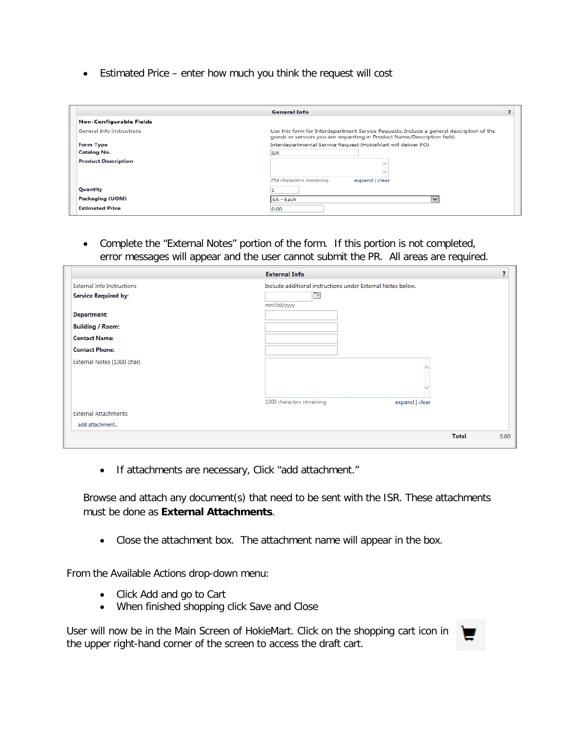• Estimated Price – enter how much you think the request will cost

|                                  | <b>General Info</b>                                                                                                                                                 |  |
|----------------------------------|---------------------------------------------------------------------------------------------------------------------------------------------------------------------|--|
| <b>Non-Configurable Fields</b>   |                                                                                                                                                                     |  |
| <b>General Info Instructions</b> | Use this form for Interdepartment Service Requests. Include a general description of the<br>goods or services you are requesting in Product Name/Description field. |  |
| <b>Form Type</b>                 | Interdepartmental Service Request (HokieMart will deliver PO)                                                                                                       |  |
| <b>Catalog No.</b>               | <b>ISR</b>                                                                                                                                                          |  |
| <b>Product Description</b>       |                                                                                                                                                                     |  |
|                                  |                                                                                                                                                                     |  |
|                                  | 254 characters remaining<br>expand   clear                                                                                                                          |  |
| Quantity                         |                                                                                                                                                                     |  |
| <b>Packaging (UOM)</b>           | EA - Each<br>$\ddot{\phantom{1}}$                                                                                                                                   |  |
| <b>Estimated Price</b>           | 0.00                                                                                                                                                                |  |

• Complete the "External Notes" portion of the form. If this portion is not completed, error messages will appear and the user cannot submit the PR. All areas are required.

|                                   | <b>External Info</b>                                        |                |              | 2    |
|-----------------------------------|-------------------------------------------------------------|----------------|--------------|------|
| <b>External Info Instructions</b> | Include additional instructions under External Notes below. |                |              |      |
| <b>Service Required by:</b>       | F                                                           |                |              |      |
|                                   | mm/dd/yyyy                                                  |                |              |      |
| Department:                       |                                                             |                |              |      |
| <b>Building / Room:</b>           |                                                             |                |              |      |
| <b>Contact Name:</b>              |                                                             |                |              |      |
| <b>Contact Phone:</b>             |                                                             |                |              |      |
| External Notes (1000 char)        |                                                             |                |              |      |
|                                   |                                                             |                |              |      |
|                                   |                                                             |                |              |      |
|                                   |                                                             |                |              |      |
|                                   | 1000 characters remaining                                   | expand   clear |              |      |
| <b>External Attachments</b>       |                                                             |                |              |      |
| add attachment                    |                                                             |                |              |      |
|                                   |                                                             |                | <b>Total</b> | 0.00 |
|                                   |                                                             |                |              |      |

• If attachments are necessary, Click "add attachment."

Browse and attach any document(s) that need to be sent with the ISR. These attachments must be done as **External Attachments**.

• Close the attachment box. The attachment name will appear in the box.

From the Available Actions drop-down menu:

- Click Add and go to Cart
- When finished shopping click Save and Close

User will now be in the Main Screen of HokieMart. Click on the shopping cart icon in the upper right-hand corner of the screen to access the draft cart.